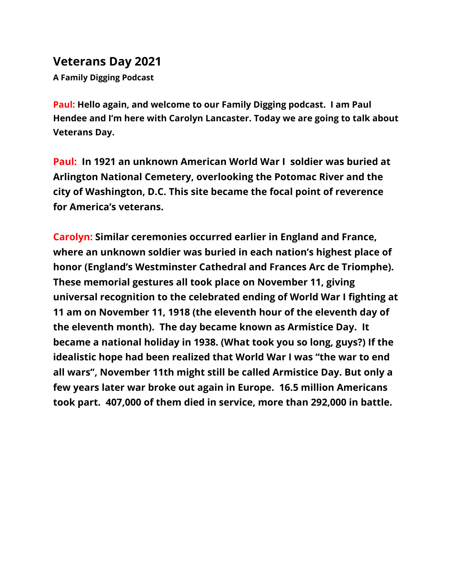## **Veterans Day 2021**

**A Family Digging Podcast**

**Paul: Hello again, and welcome to our Family Digging podcast. I am Paul Hendee and I'm here with Carolyn Lancaster. Today we are going to talk about Veterans Day.**

**Paul: In 1921 an unknown American World War I soldier was buried at Arlington National Cemetery, overlooking the Potomac River and the city of Washington, D.C. This site became the focal point of reverence for America's veterans.**

**Carolyn: Similar ceremonies occurred earlier in England and France, where an unknown soldier was buried in each nation's highest place of honor (England's Westminster Cathedral and Frances Arc de Triomphe). These memorial gestures all took place on November 11, giving universal recognition to the celebrated ending of World War I fighting at 11 am on November 11, 1918 (the eleventh hour of the eleventh day of the eleventh month). The day became known as Armistice Day. It became a national holiday in 1938. (What took you so long, guys?) If the idealistic hope had been realized that World War I was "the war to end all wars", November 11th might still be called Armistice Day. But only a few years later war broke out again in Europe. 16.5 million Americans took part. 407,000 of them died in service, more than 292,000 in battle.**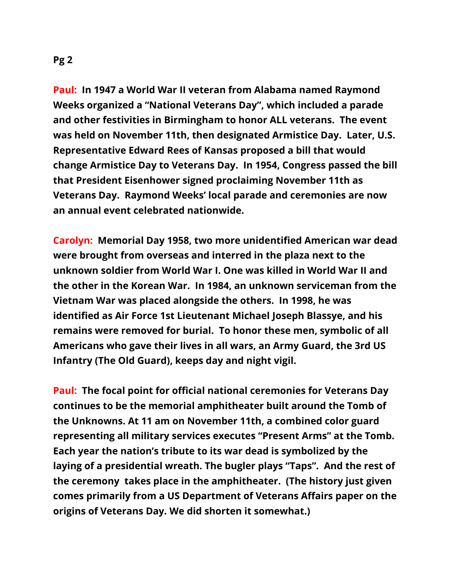**Paul: In 1947 a World War II veteran from Alabama named Raymond Weeks organized a "National Veterans Day", which included a parade and other festivities in Birmingham to honor ALL veterans. The event was held on November 11th, then designated Armistice Day. Later, U.S. Representative Edward Rees of Kansas proposed a bill that would change Armistice Day to Veterans Day. In 1954, Congress passed the bill that President Eisenhower signed proclaiming November 11th as Veterans Day. Raymond Weeks' local parade and ceremonies are now an annual event celebrated nationwide.**

**Carolyn: Memorial Day 1958, two more unidentified American war dead were brought from overseas and interred in the plaza next to the unknown soldier from World War I. One was killed in World War II and the other in the Korean War. In 1984, an unknown serviceman from the Vietnam War was placed alongside the others. In 1998, he was identified as Air Force 1st Lieutenant Michael Joseph Blassye, and his remains were removed for burial. To honor these men, symbolic of all Americans who gave their lives in all wars, an Army Guard, the 3rd US Infantry (The Old Guard), keeps day and night vigil.**

**Paul: The focal point for official national ceremonies for Veterans Day continues to be the memorial amphitheater built around the Tomb of the Unknowns. At 11 am on November 11th, a combined color guard representing all military services executes "Present Arms" at the Tomb. Each year the nation's tribute to its war dead is symbolized by the laying of a presidential wreath. The bugler plays "Taps". And the rest of the ceremony takes place in the amphitheater. (The history just given comes primarily from a US Department of Veterans Affairs paper on the origins of Veterans Day. We did shorten it somewhat.)**

**Pg 2**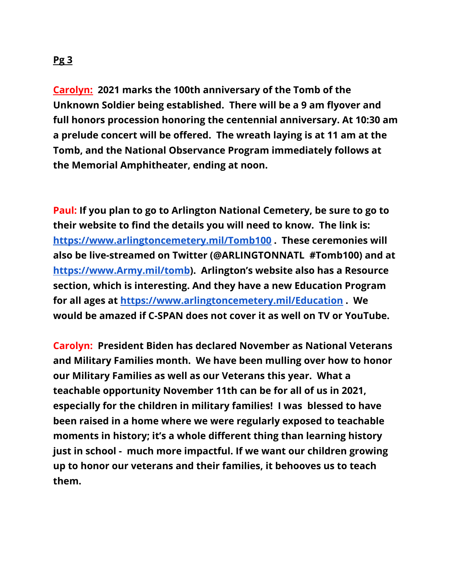## **Pg 3**

**Carolyn: 2021 marks the 100th anniversary of the Tomb of the Unknown Soldier being established. There will be a 9 am flyover and full honors procession honoring the centennial anniversary. At 10:30 am a prelude concert will be offered. The wreath laying is at 11 am at the Tomb, and the National Observance Program immediately follows at the Memorial Amphitheater, ending at noon.**

**Paul: If you plan to go to Arlington National Cemetery, be sure to go to their website to find the details you will need to know. The link is: <https://www.arlingtoncemetery.mil/Tomb100> . These ceremonies will also be live-streamed on Twitter (@ARLINGTONNATL #Tomb100) and at [https://www.Army.mil/tomb](https://www.army.mil/tomb)). Arlington's website also has a Resource section, which is interesting. And they have a new Education Program for all ages at <https://www.arlingtoncemetery.mil/Education> . We would be amazed if C-SPAN does not cover it as well on TV or YouTube.**

**Carolyn: President Biden has declared November as National Veterans and Military Families month. We have been mulling over how to honor our Military Families as well as our Veterans this year. What a teachable opportunity November 11th can be for all of us in 2021, especially for the children in military families! I was blessed to have been raised in a home where we were regularly exposed to teachable moments in history; it's a whole different thing than learning history just in school - much more impactful. If we want our children growing up to honor our veterans and their families, it behooves us to teach them.**